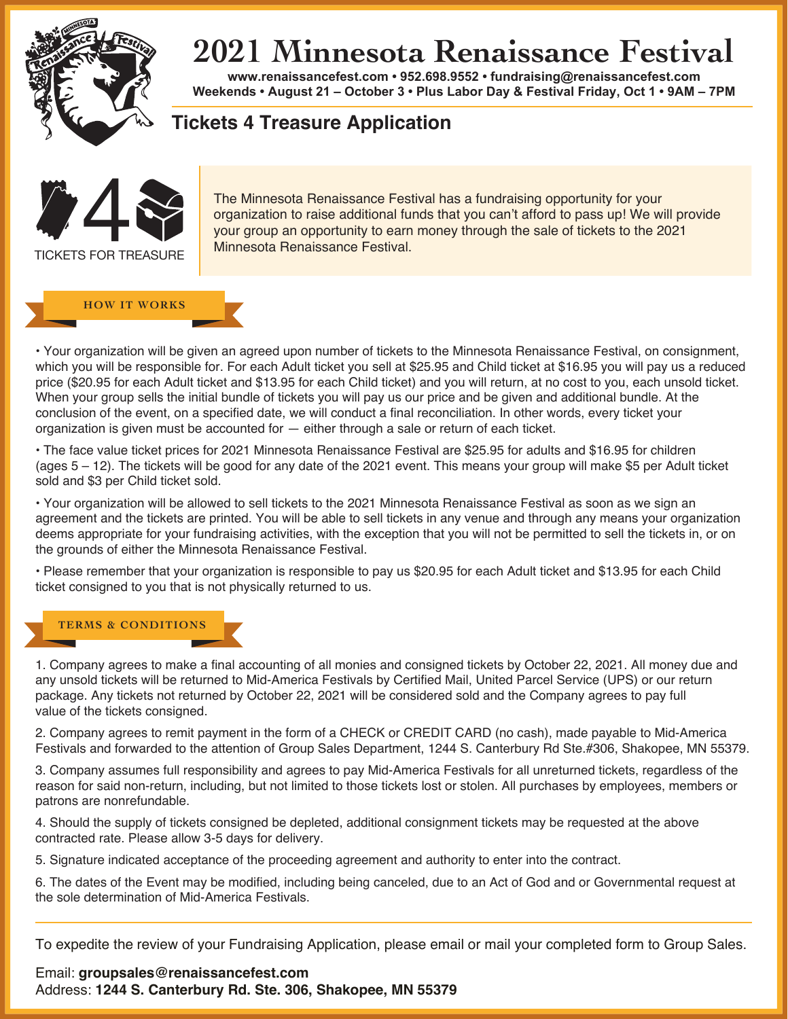

## **2021 Minnesota Renaissance Festival**

**www.renaissancefest.com • 952.698.9552 • fundraising@renaissancefest.com Weekends • August 21 – October 3 • Plus Labor Day & Festival Friday, Oct 1 • 9AM – 7PM**

**Tickets 4 Treasure Application**



The Minnesota Renaissance Festival has a fundraising opportunity for your organization to raise additional funds that you can't afford to pass up! We will provide your group an opportunity to earn money through the sale of tickets to the 2021 Minnesota Renaissance Festival.

## **HOW IT WORKS**

• Your organization will be given an agreed upon number of tickets to the Minnesota Renaissance Festival, on consignment, which you will be responsible for. For each Adult ticket you sell at \$25.95 and Child ticket at \$16.95 you will pay us a reduced price (\$20.95 for each Adult ticket and \$13.95 for each Child ticket) and you will return, at no cost to you, each unsold ticket. When your group sells the initial bundle of tickets you will pay us our price and be given and additional bundle. At the conclusion of the event, on a specified date, we will conduct a final reconciliation. In other words, every ticket your organization is given must be accounted for — either through a sale or return of each ticket.

• The face value ticket prices for 2021 Minnesota Renaissance Festival are \$25.95 for adults and \$16.95 for children (ages 5 – 12). The tickets will be good for any date of the 2021 event. This means your group will make \$5 per Adult ticket sold and \$3 per Child ticket sold.

• Your organization will be allowed to sell tickets to the 2021 Minnesota Renaissance Festival as soon as we sign an agreement and the tickets are printed. You will be able to sell tickets in any venue and through any means your organization deems appropriate for your fundraising activities, with the exception that you will not be permitted to sell the tickets in, or on the grounds of either the Minnesota Renaissance Festival.

• Please remember that your organization is responsible to pay us \$20.95 for each Adult ticket and \$13.95 for each Child ticket consigned to you that is not physically returned to us.

## **TERMS & CONDITIONS**

1. Company agrees to make a final accounting of all monies and consigned tickets by October 22, 2021. All money due and any unsold tickets will be returned to Mid-America Festivals by Certified Mail, United Parcel Service (UPS) or our return package. Any tickets not returned by October 22, 2021 will be considered sold and the Company agrees to pay full value of the tickets consigned.

2. Company agrees to remit payment in the form of a CHECK or CREDIT CARD (no cash), made payable to Mid-America Festivals and forwarded to the attention of Group Sales Department, 1244 S. Canterbury Rd Ste.#306, Shakopee, MN 55379.

3. Company assumes full responsibility and agrees to pay Mid-America Festivals for all unreturned tickets, regardless of the reason for said non-return, including, but not limited to those tickets lost or stolen. All purchases by employees, members or patrons are nonrefundable.

4. Should the supply of tickets consigned be depleted, additional consignment tickets may be requested at the above contracted rate. Please allow 3-5 days for delivery.

5. Signature indicated acceptance of the proceeding agreement and authority to enter into the contract.

6. The dates of the Event may be modified, including being canceled, due to an Act of God and or Governmental request at the sole determination of Mid-America Festivals.

To expedite the review of your Fundraising Application, please email or mail your completed form to Group Sales.

Email: **groupsales@renaissancefest.com**  Address: **1244 S. Canterbury Rd. Ste. 306, Shakopee, MN 55379**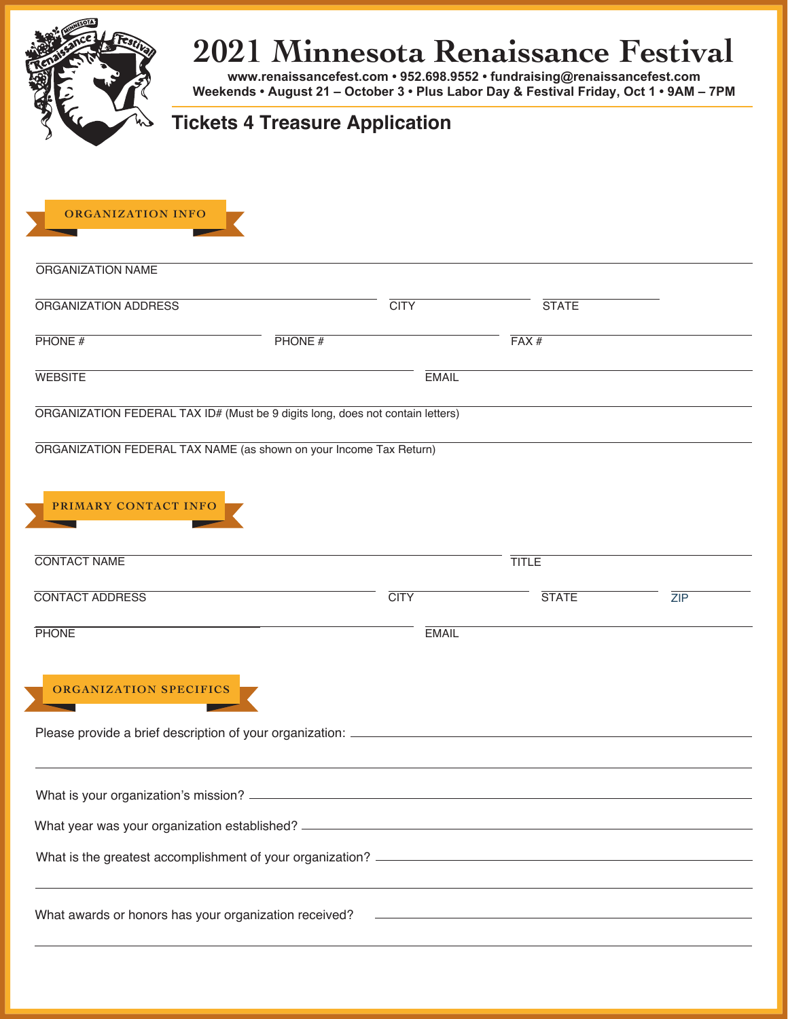## **2021 Minnesota Renaissance Festival www.renaissancefest.com • 952.698.9552 • fundraising@renaissancefest.com**

**Weekends • August 21 – October 3 • Plus Labor Day & Festival Friday, Oct 1 • 9AM – 7PM**

| $\sqrt{\omega}$ Tickets 4 Treasure Application |  |
|------------------------------------------------|--|
|                                                |  |

| <b>ORGANIZATION INFO</b>                                                       |        |              |              |     |  |  |  |
|--------------------------------------------------------------------------------|--------|--------------|--------------|-----|--|--|--|
| ORGANIZATION NAME                                                              |        |              |              |     |  |  |  |
| ORGANIZATION ADDRESS                                                           |        | <b>CITY</b>  | <b>STATE</b> |     |  |  |  |
| PHONE#                                                                         | PHONE# |              | FAX#         |     |  |  |  |
| <b>WEBSITE</b>                                                                 |        | <b>EMAIL</b> |              |     |  |  |  |
| ORGANIZATION FEDERAL TAX ID# (Must be 9 digits long, does not contain letters) |        |              |              |     |  |  |  |
| ORGANIZATION FEDERAL TAX NAME (as shown on your Income Tax Return)             |        |              |              |     |  |  |  |
|                                                                                |        |              |              |     |  |  |  |
| PRIMARY CONTACT INFO                                                           |        |              |              |     |  |  |  |
| <b>CONTACT NAME</b>                                                            |        |              | <b>TITLE</b> |     |  |  |  |
| <b>CONTACT ADDRESS</b>                                                         |        | <b>CITY</b>  | <b>STATE</b> | ZIP |  |  |  |
| <b>PHONE</b>                                                                   |        | <b>EMAIL</b> |              |     |  |  |  |
|                                                                                |        |              |              |     |  |  |  |
| <b>ORGANIZATION SPECIFICS</b>                                                  |        |              |              |     |  |  |  |
| Please provide a brief description of your organization: __________            |        |              |              |     |  |  |  |
|                                                                                |        |              |              |     |  |  |  |
|                                                                                |        |              |              |     |  |  |  |
|                                                                                |        |              |              |     |  |  |  |
|                                                                                |        |              |              |     |  |  |  |
|                                                                                |        |              |              |     |  |  |  |
|                                                                                |        |              |              |     |  |  |  |